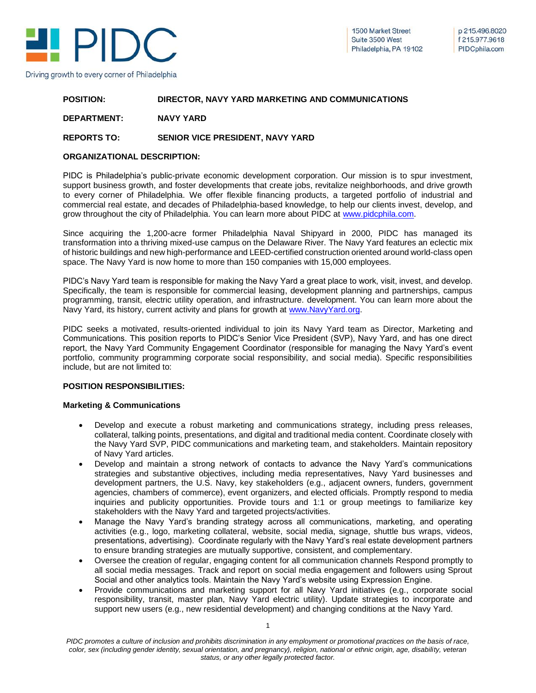

#### **POSITION: DIRECTOR, NAVY YARD MARKETING AND COMMUNICATIONS**

### **DEPARTMENT: NAVY YARD**

## **REPORTS TO: SENIOR VICE PRESIDENT, NAVY YARD**

### **ORGANIZATIONAL DESCRIPTION:**

PIDC is Philadelphia's public-private economic development corporation. Our mission is to spur investment, support business growth, and foster developments that create jobs, revitalize neighborhoods, and drive growth to every corner of Philadelphia. We offer flexible financing products, a targeted portfolio of industrial and commercial real estate, and decades of Philadelphia-based knowledge, to help our clients invest, develop, and grow throughout the city of Philadelphia. You can learn more about PIDC at [www.pidcphila.com.](http://www.pidcphila.com/)

Since acquiring the 1,200-acre former Philadelphia Naval Shipyard in 2000, PIDC has managed its transformation into a thriving mixed-use campus on the Delaware River. The Navy Yard features an eclectic mix of historic buildings and new high-performance and LEED-certified construction oriented around world-class open space. The Navy Yard is now home to more than 150 companies with 15,000 employees.

PIDC's Navy Yard team is responsible for making the Navy Yard a great place to work, visit, invest, and develop. Specifically, the team is responsible for commercial leasing, development planning and partnerships, campus programming, transit, electric utility operation, and infrastructure. development. You can learn more about the Navy Yard, its history, current activity and plans for growth at [www.NavyYard.org.](http://www.navyyard.org/)

PIDC seeks a motivated, results-oriented individual to join its Navy Yard team as Director, Marketing and Communications. This position reports to PIDC's Senior Vice President (SVP), Navy Yard, and has one direct report, the Navy Yard Community Engagement Coordinator (responsible for managing the Navy Yard's event portfolio, community programming corporate social responsibility, and social media). Specific responsibilities include, but are not limited to:

### **POSITION RESPONSIBILITIES:**

### **Marketing & Communications**

- Develop and execute a robust marketing and communications strategy, including press releases, collateral, talking points, presentations, and digital and traditional media content. Coordinate closely with the Navy Yard SVP, PIDC communications and marketing team, and stakeholders. Maintain repository of Navy Yard articles.
- Develop and maintain a strong network of contacts to advance the Navy Yard's communications strategies and substantive objectives, including media representatives, Navy Yard businesses and development partners, the U.S. Navy, key stakeholders (e.g., adjacent owners, funders, government agencies, chambers of commerce), event organizers, and elected officials. Promptly respond to media inquiries and publicity opportunities. Provide tours and 1:1 or group meetings to familiarize key stakeholders with the Navy Yard and targeted projects/activities.
- Manage the Navy Yard's branding strategy across all communications, marketing, and operating activities (e.g., logo, marketing collateral, website, social media, signage, shuttle bus wraps, videos, presentations, advertising). Coordinate regularly with the Navy Yard's real estate development partners to ensure branding strategies are mutually supportive, consistent, and complementary.
- Oversee the creation of regular, engaging content for all communication channels Respond promptly to all social media messages. Track and report on social media engagement and followers using Sprout Social and other analytics tools. Maintain the Navy Yard's website using Expression Engine.
- Provide communications and marketing support for all Navy Yard initiatives (e.g., corporate social responsibility, transit, master plan, Navy Yard electric utility). Update strategies to incorporate and support new users (e.g., new residential development) and changing conditions at the Navy Yard.